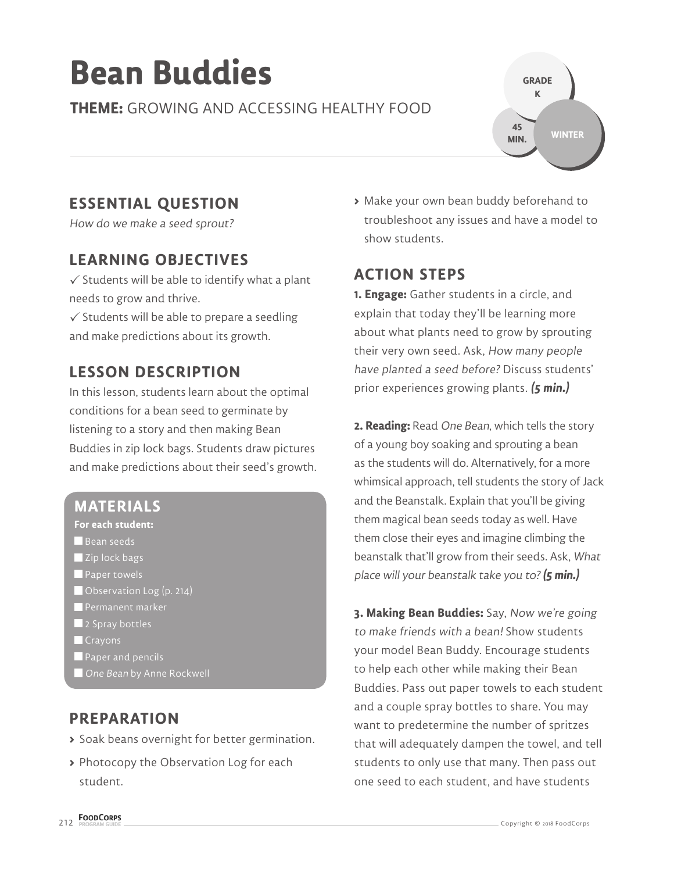# **Bean Buddies**

**THEME:** GROWING AND ACCESSING HEALTHY FOOD



# **ESSENTIAL QUESTION**

How do we make a seed sprout?

## **LEARNING OBJECTIVES**

 $\checkmark$  Students will be able to identify what a plant needs to grow and thrive.

 $\checkmark$  Students will be able to prepare a seedling and make predictions about its growth.

# **LESSON DESCRIPTION**

In this lesson, students learn about the optimal conditions for a bean seed to germinate by listening to a story and then making Bean Buddies in zip lock bags. Students draw pictures and make predictions about their seed's growth.

#### **MATERIALS**

- **For each student:**
- Bean seeds
- Zip lock bags
- **Paper towels**
- Observation Log (p. 214)
- Permanent marker
- 2 Spray bottles
- **Crayons**
- **Paper and pencils**
- **One Bean by Anne Rockwell**

#### **PREPARATION**

- **>** Soak beans overnight for better germination.
- **>** Photocopy the Observation Log for each student.

**>** Make your own bean buddy beforehand to troubleshoot any issues and have a model to show students.

## **ACTION STEPS**

**1. Engage:** Gather students in a circle, and explain that today they'll be learning more about what plants need to grow by sprouting their very own seed. Ask, How many people have planted a seed before? Discuss students' prior experiences growing plants. **(5 min.)**

**2. Reading:** Read One Bean, which tells the story of a young boy soaking and sprouting a bean as the students will do. Alternatively, for a more whimsical approach, tell students the story of Jack and the Beanstalk. Explain that you'll be giving them magical bean seeds today as well. Have them close their eyes and imagine climbing the beanstalk that'll grow from their seeds. Ask, What place will your beanstalk take you to?**(5 min.)**

**3. Making Bean Buddies:** Say, Now we're going to make friends with a bean! Show students your model Bean Buddy. Encourage students to help each other while making their Bean Buddies. Pass out paper towels to each student and a couple spray bottles to share. You may want to predetermine the number of spritzes that will adequately dampen the towel, and tell students to only use that many. Then pass out one seed to each student, and have students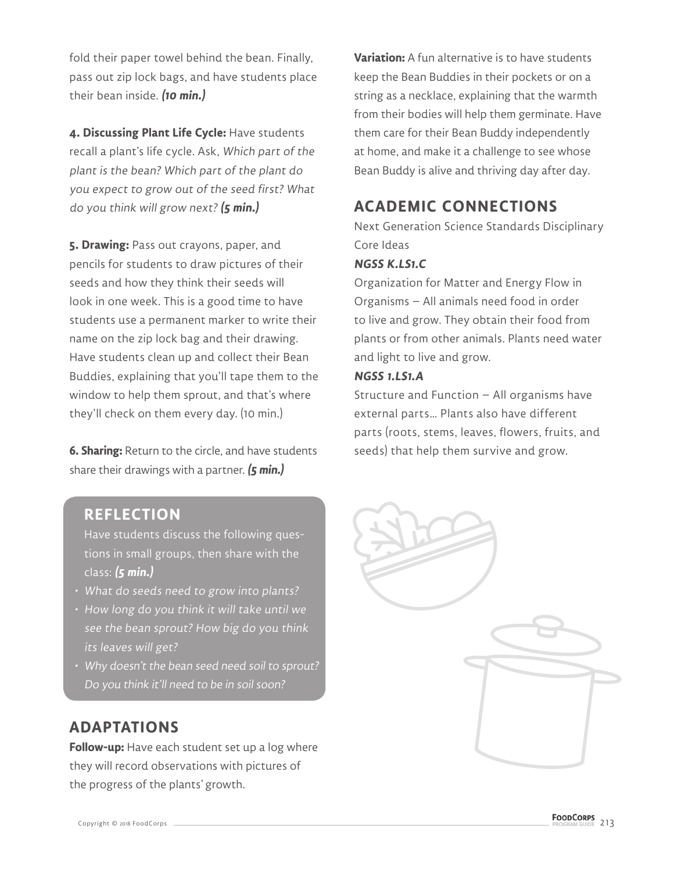fold their paper towel behind the bean. Finally, pass out zip lock bags, and have students place their bean inside. **(10 min.)**

**4. Discussing Plant Life Cycle:** Have students recall a plant's life cycle. Ask, Which part of the plant is the bean? Which part of the plant do you expect to grow out of the seed first? What do you think will grow next? **(5 min.)**

**5. Drawing:** Pass out crayons, paper, and pencils for students to draw pictures of their seeds and how they think their seeds will look in one week. This is a good time to have students use a permanent marker to write their name on the zip lock bag and their drawing. Have students clean up and collect their Bean Buddies, explaining that you'll tape them to the window to help them sprout, and that's where they'll check on them every day. (10 min.)

**6. Sharing:** Return to the circle, and have students share their drawings with a partner. **(5 min.)**

**Variation:** A fun alternative is to have students keep the Bean Buddies in their pockets or on a string as a necklace, explaining that the warmth from their bodies will help them germinate. Have them care for their Bean Buddy independently at home, and make it a challenge to see whose Bean Buddy is alive and thriving day after day.

# **ACADEMIC CONNECTIONS**

Next Generation Science Standards Disciplinary Core Ideas

#### **NGSS K.LS1.C**

Organization for Matter and Energy Flow in Organisms – All animals need food in order to live and grow. They obtain their food from plants or from other animals. Plants need water and light to live and grow.

#### **NGSS 1.LS1.A**

Structure and Function – All organisms have external parts… Plants also have different parts (roots, stems, leaves, flowers, fruits, and seeds) that help them survive and grow.

#### **REFLECTION**

Have students discuss the following questions in small groups, then share with the class: **(5 min.)**

- What do seeds need to grow into plants?
- How long do you think it will take until we see the bean sprout? How big do you think its leaves will get?
- Why doesn't the bean seed need soil to sprout? Do you think it'll need to be in soil soon?

#### **ADAPTATIONS**

**Follow-up:** Have each student set up a log where they will record observations with pictures of the progress of the plants' growth.